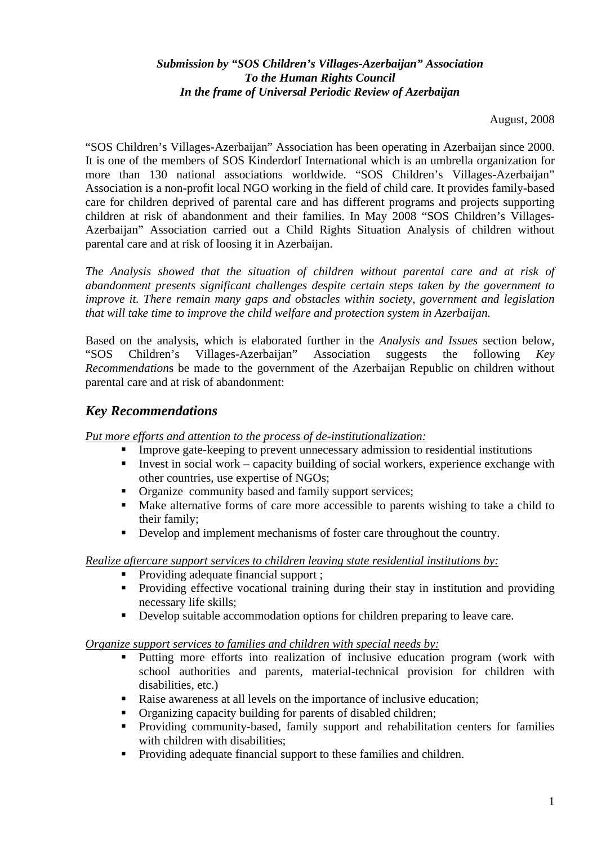## *Submission by "SOS Children's Villages-Azerbaijan" Association To the Human Rights Council In the frame of Universal Periodic Review of Azerbaijan*

August, 2008

"SOS Children's Villages-Azerbaijan" Association has been operating in Azerbaijan since 2000. It is one of the members of SOS Kinderdorf International which is an umbrella organization for more than 130 national associations worldwide. "SOS Children's Villages-Azerbaijan" Association is a non-profit local NGO working in the field of child care. It provides family-based care for children deprived of parental care and has different programs and projects supporting children at risk of abandonment and their families. In May 2008 "SOS Children's Villages-Azerbaijan" Association carried out a Child Rights Situation Analysis of children without parental care and at risk of loosing it in Azerbaijan.

*The Analysis showed that the situation of children without parental care and at risk of abandonment presents significant challenges despite certain steps taken by the government to improve it. There remain many gaps and obstacles within society, government and legislation that will take time to improve the child welfare and protection system in Azerbaijan.* 

Based on the analysis, which is elaborated further in the *Analysis and Issues* section below, "SOS Children's Villages-Azerbaijan" Association suggests the following *Key Recommendation*s be made to the government of the Azerbaijan Republic on children without parental care and at risk of abandonment:

# *Key Recommendations*

*Put more efforts and attention to the process of de-institutionalization:*

- **IMPROVE gate-keeping to prevent unnecessary admission to residential institutions** 
	- Invest in social work capacity building of social workers, experience exchange with other countries, use expertise of NGOs;
	- **•** Organize community based and family support services;
	- Make alternative forms of care more accessible to parents wishing to take a child to their family;
	- Develop and implement mechanisms of foster care throughout the country.

## *Realize aftercare support services to children leaving state residential institutions by:*

- Providing adequate financial support ;
- **Providing effective vocational training during their stay in institution and providing** necessary life skills;
- Develop suitable accommodation options for children preparing to leave care.

## *Organize support services to families and children with special needs by:*

- Putting more efforts into realization of inclusive education program (work with school authorities and parents, material-technical provision for children with disabilities, etc.)
- Raise awareness at all levels on the importance of inclusive education:
- Organizing capacity building for parents of disabled children;
- Providing community-based, family support and rehabilitation centers for families with children with disabilities:
- Providing adequate financial support to these families and children.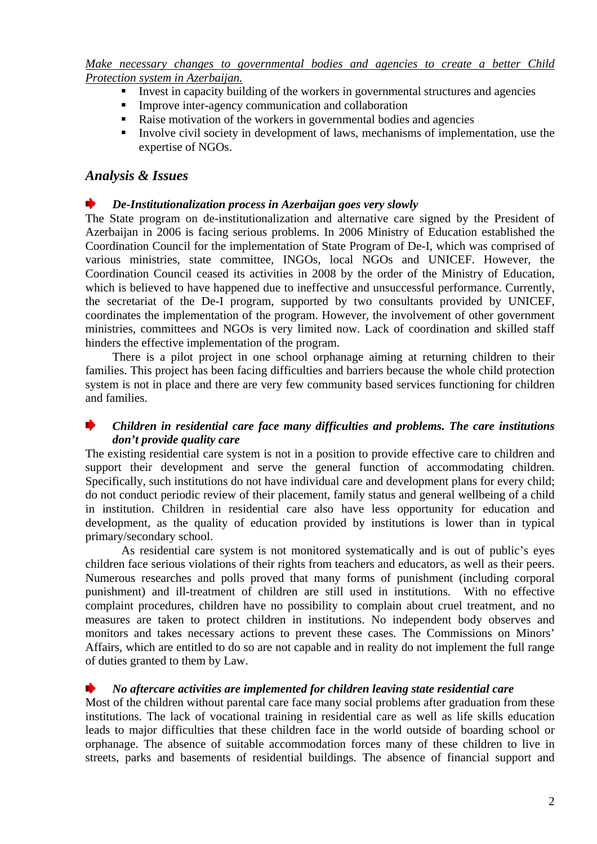*Make necessary changes to governmental bodies and agencies to create a better Child Protection system in Azerbaijan.*

- Invest in capacity building of the workers in governmental structures and agencies
- **Improve inter-agency communication and collaboration**
- Raise motivation of the workers in governmental bodies and agencies
- Involve civil society in development of laws, mechanisms of implementation, use the expertise of NGOs.

## *Analysis & Issues*

### *De-Institutionalization process in Azerbaijan goes very slowly*

The State program on de-institutionalization and alternative care signed by the President of Azerbaijan in 2006 is facing serious problems. In 2006 Ministry of Education established the Coordination Council for the implementation of State Program of De-I, which was comprised of various ministries, state committee, INGOs, local NGOs and UNICEF. However, the Coordination Council ceased its activities in 2008 by the order of the Ministry of Education, which is believed to have happened due to ineffective and unsuccessful performance. Currently, the secretariat of the De-I program, supported by two consultants provided by UNICEF, coordinates the implementation of the program. However, the involvement of other government ministries, committees and NGOs is very limited now. Lack of coordination and skilled staff hinders the effective implementation of the program.

There is a pilot project in one school orphanage aiming at returning children to their families. This project has been facing difficulties and barriers because the whole child protection system is not in place and there are very few community based services functioning for children and families.

## *Children in residential care face many difficulties and problems. The care institutions don't provide quality care*

The existing residential care system is not in a position to provide effective care to children and support their development and serve the general function of accommodating children. Specifically, such institutions do not have individual care and development plans for every child; do not conduct periodic review of their placement, family status and general wellbeing of a child in institution. Children in residential care also have less opportunity for education and development, as the quality of education provided by institutions is lower than in typical primary/secondary school.

 As residential care system is not monitored systematically and is out of public's eyes children face serious violations of their rights from teachers and educators, as well as their peers. Numerous researches and polls proved that many forms of punishment (including corporal punishment) and ill-treatment of children are still used in institutions. With no effective complaint procedures, children have no possibility to complain about cruel treatment, and no measures are taken to protect children in institutions. No independent body observes and monitors and takes necessary actions to prevent these cases. The Commissions on Minors' Affairs, which are entitled to do so are not capable and in reality do not implement the full range of duties granted to them by Law.

#### *No aftercare activities are implemented for children leaving state residential care*

 Most of the children without parental care face many social problems after graduation from these institutions. The lack of vocational training in residential care as well as life skills education leads to major difficulties that these children face in the world outside of boarding school or orphanage. The absence of suitable accommodation forces many of these children to live in streets, parks and basements of residential buildings. The absence of financial support and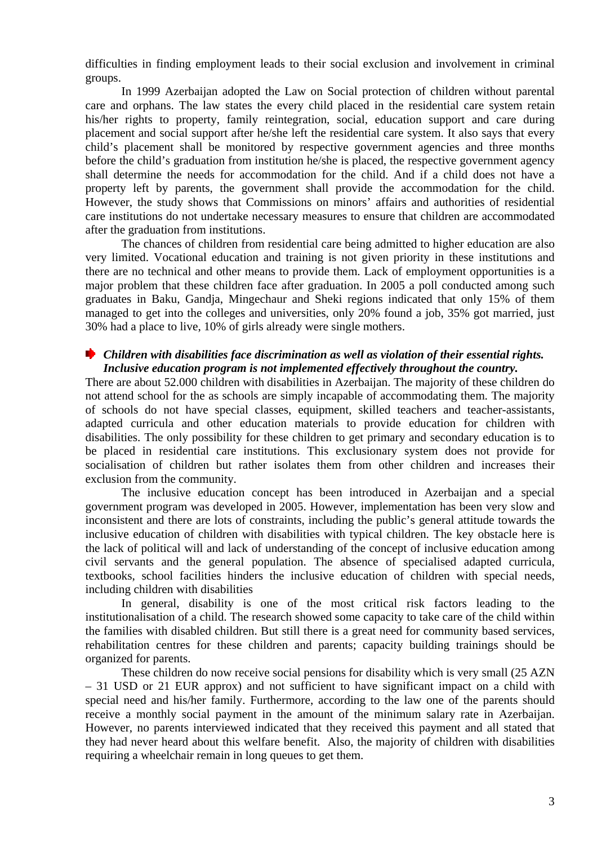difficulties in finding employment leads to their social exclusion and involvement in criminal groups.

 In 1999 Azerbaijan adopted the Law on Social protection of children without parental care and orphans. The law states the every child placed in the residential care system retain his/her rights to property, family reintegration, social, education support and care during placement and social support after he/she left the residential care system. It also says that every child's placement shall be monitored by respective government agencies and three months before the child's graduation from institution he/she is placed, the respective government agency shall determine the needs for accommodation for the child. And if a child does not have a property left by parents, the government shall provide the accommodation for the child. However, the study shows that Commissions on minors' affairs and authorities of residential care institutions do not undertake necessary measures to ensure that children are accommodated after the graduation from institutions.

 The chances of children from residential care being admitted to higher education are also very limited. Vocational education and training is not given priority in these institutions and there are no technical and other means to provide them. Lack of employment opportunities is a major problem that these children face after graduation. In 2005 a poll conducted among such graduates in Baku, Gandja, Mingechaur and Sheki regions indicated that only 15% of them managed to get into the colleges and universities, only 20% found a job, 35% got married, just 30% had a place to live, 10% of girls already were single mothers.

#### *Children with disabilities face discrimination as well as violation of their essential rights. Inclusive education program is not implemented effectively throughout the country.*

 There are about 52.000 children with disabilities in Azerbaijan. The majority of these children do not attend school for the as schools are simply incapable of accommodating them. The majority of schools do not have special classes, equipment, skilled teachers and teacher-assistants, adapted curricula and other education materials to provide education for children with disabilities. The only possibility for these children to get primary and secondary education is to be placed in residential care institutions. This exclusionary system does not provide for socialisation of children but rather isolates them from other children and increases their exclusion from the community.

 The inclusive education concept has been introduced in Azerbaijan and a special government program was developed in 2005. However, implementation has been very slow and inconsistent and there are lots of constraints, including the public's general attitude towards the inclusive education of children with disabilities with typical children. The key obstacle here is the lack of political will and lack of understanding of the concept of inclusive education among civil servants and the general population. The absence of specialised adapted curricula, textbooks, school facilities hinders the inclusive education of children with special needs, including children with disabilities

 In general, disability is one of the most critical risk factors leading to the institutionalisation of a child. The research showed some capacity to take care of the child within the families with disabled children. But still there is a great need for community based services, rehabilitation centres for these children and parents; capacity building trainings should be organized for parents.

 These children do now receive social pensions for disability which is very small (25 AZN – 31 USD or 21 EUR approx) and not sufficient to have significant impact on a child with special need and his/her family. Furthermore, according to the law one of the parents should receive a monthly social payment in the amount of the minimum salary rate in Azerbaijan. However, no parents interviewed indicated that they received this payment and all stated that they had never heard about this welfare benefit. Also, the majority of children with disabilities requiring a wheelchair remain in long queues to get them.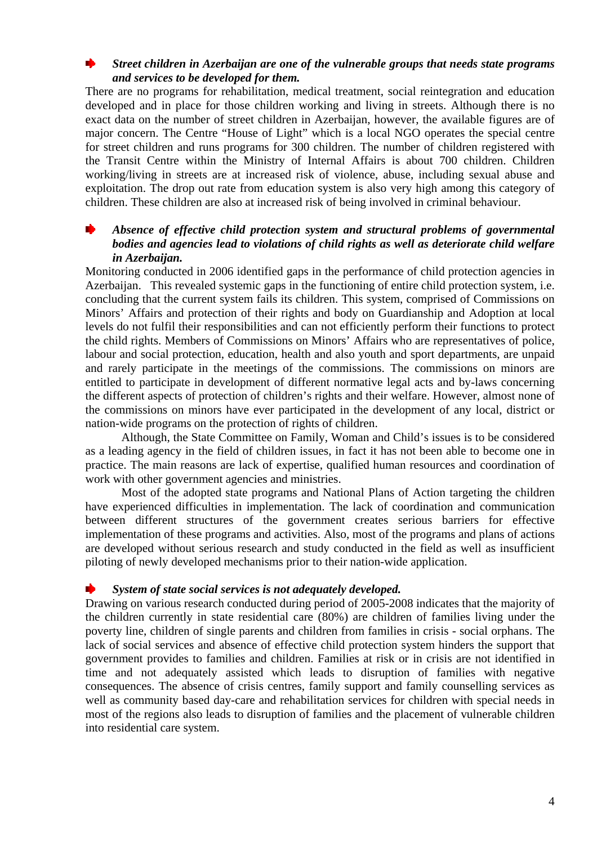### *Street children in Azerbaijan are one of the vulnerable groups that needs state programs and services to be developed for them.*

 There are no programs for rehabilitation, medical treatment, social reintegration and education developed and in place for those children working and living in streets. Although there is no exact data on the number of street children in Azerbaijan, however, the available figures are of major concern. The Centre "House of Light" which is a local NGO operates the special centre for street children and runs programs for 300 children. The number of children registered with the Transit Centre within the Ministry of Internal Affairs is about 700 children. Children working/living in streets are at increased risk of violence, abuse, including sexual abuse and exploitation. The drop out rate from education system is also very high among this category of children. These children are also at increased risk of being involved in criminal behaviour.

## *Absence of effective child protection system and structural problems of governmental bodies and agencies lead to violations of child rights as well as deteriorate child welfare in Azerbaijan.*

 Monitoring conducted in 2006 identified gaps in the performance of child protection agencies in Azerbaijan. This revealed systemic gaps in the functioning of entire child protection system, i.e. concluding that the current system fails its children. This system, comprised of Commissions on Minors' Affairs and protection of their rights and body on Guardianship and Adoption at local levels do not fulfil their responsibilities and can not efficiently perform their functions to protect the child rights. Members of Commissions on Minors' Affairs who are representatives of police, labour and social protection, education, health and also youth and sport departments, are unpaid and rarely participate in the meetings of the commissions. The commissions on minors are entitled to participate in development of different normative legal acts and by-laws concerning the different aspects of protection of children's rights and their welfare. However, almost none of the commissions on minors have ever participated in the development of any local, district or nation-wide programs on the protection of rights of children.

 Although, the State Committee on Family, Woman and Child's issues is to be considered as a leading agency in the field of children issues, in fact it has not been able to become one in practice. The main reasons are lack of expertise, qualified human resources and coordination of work with other government agencies and ministries.

 Most of the adopted state programs and National Plans of Action targeting the children have experienced difficulties in implementation. The lack of coordination and communication between different structures of the government creates serious barriers for effective implementation of these programs and activities. Also, most of the programs and plans of actions are developed without serious research and study conducted in the field as well as insufficient piloting of newly developed mechanisms prior to their nation-wide application.

#### *System of state social services is not adequately developed.*

 Drawing on various research conducted during period of 2005-2008 indicates that the majority of the children currently in state residential care (80%) are children of families living under the poverty line, children of single parents and children from families in crisis - social orphans. The lack of social services and absence of effective child protection system hinders the support that government provides to families and children. Families at risk or in crisis are not identified in time and not adequately assisted which leads to disruption of families with negative consequences. The absence of crisis centres, family support and family counselling services as well as community based day-care and rehabilitation services for children with special needs in most of the regions also leads to disruption of families and the placement of vulnerable children into residential care system.